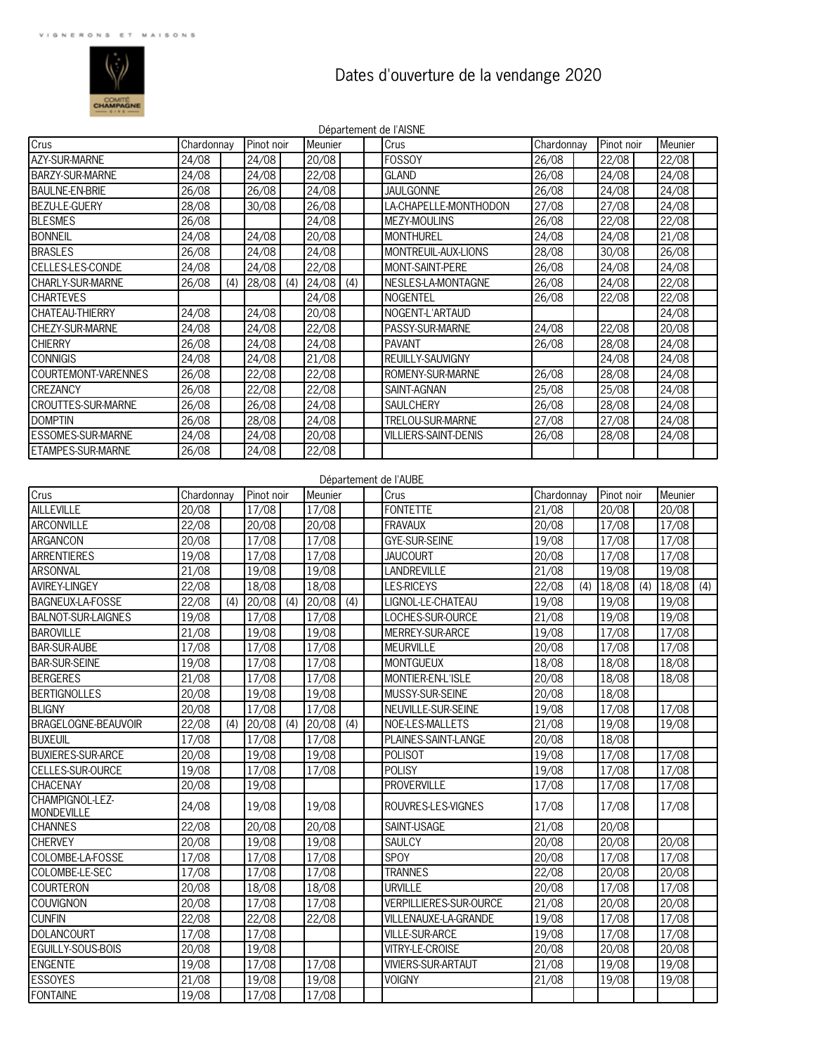

## Dates d'ouverture de la vendange 2020

|                            |            |     |            |     |         |     | Département de l'AISNE      |            |               |     |             |  |
|----------------------------|------------|-----|------------|-----|---------|-----|-----------------------------|------------|---------------|-----|-------------|--|
| Crus                       | Chardonnay |     | Pinot noir |     | Meunier |     | Crus                        | Chardonnay | Pinot noir    |     | Meunier     |  |
| <b>AZY-SUR-MARNE</b>       | 24/08      |     | 24/08      |     | 20/08   |     | <b>FOSSOY</b>               | 26/08      | 22/08         |     | 22/08       |  |
| <b>BARZY-SUR-MARNE</b>     | 24/08      |     | 24/08      |     | 22/08   |     | <b>GLAND</b>                | 26/08      | 24/08         |     | 24/08       |  |
| <b>BAULNE-EN-BRIE</b>      | 26/08      |     | 26/08      |     | 24/08   |     | <b>JAULGONNE</b>            | 26/08      | 24/08         |     | 24/08       |  |
| <b>BEZU-LE-GUERY</b>       | 28/08      |     | 30/08      |     | 26/08   |     | LA-CHAPELLE-MONTHODON       | 27/08      | 27/08         |     | 24/08       |  |
| <b>BLESMES</b>             | 26/08      |     |            |     | 24/08   |     | <b>MEZY-MOULINS</b>         | 26/08      | 22/08         |     | 22/08       |  |
| <b>BONNEIL</b>             | 24/08      |     | 24/08      |     | 20/08   |     | <b>MONTHUREL</b>            | 24/08      | 24/08         |     | 21/08       |  |
| <b>BRASLES</b>             | 26/08      |     | 24/08      |     | 24/08   |     | MONTREUIL-AUX-LIONS         | 28/08      | 30/08         |     | 26/08       |  |
| CELLES-LES-CONDE           | 24/08      |     | 24/08      |     | 22/08   |     | <b>MONT-SAINT-PERE</b>      | 26/08      | 24/08         |     | 24/08       |  |
| CHARLY-SUR-MARNE           | 26/08      | (4) | 28/08      | (4) | 24/08   | (4) | NESLES-LA-MONTAGNE          | 26/08      | 24/08         |     | 22/08       |  |
| <b>CHARTFVFS</b>           |            |     |            |     | 24/08   |     | NOGENTEL                    | 26/08      | 22/08         |     | 22/08       |  |
| <b>CHATEAU-THIERRY</b>     | 24/08      |     | 24/08      |     | 20/08   |     | NOGENT-I 'ARTAUD            |            |               |     | 24/08       |  |
| CHEZY-SUR-MARNE            | 24/08      |     | 24/08      |     | 22/08   |     | PASSY-SUR-MARNE             | 24/08      | 22/08         |     | 20/08       |  |
| <b>CHIERRY</b>             | 26/08      |     | 24/08      |     | 24/08   |     | <b>PAVANT</b>               | 26/08      | 28/08         |     | 24/08       |  |
| <b>CONNIGIS</b>            | 24/08      |     | 24/08      |     | 21/08   |     | REUILLY-SAUVIGNY            |            | 24/08         |     | 24/08       |  |
| <b>COURTEMONT-VARENNES</b> | 26/08      |     | 22/08      |     | 22/08   |     | ROMENY-SUR-MARNE            | 26/08      | 28/08         |     | 24/08       |  |
| <b>CREZANCY</b>            | 26/08      |     | 22/08      |     | 22/08   |     | SAINT-AGNAN                 | 25/08      | 25/08         |     | 24/08       |  |
| <b>CROUTTES-SUR-MARNE</b>  | 26/08      |     | 26/08      |     | 24/08   |     | <b>SAULCHERY</b>            | 26/08      | 28/08         |     | 24/08       |  |
| <b>DOMPTIN</b>             | 26/08      |     | 28/08      |     | 24/08   |     | TRELOU-SUR-MARNE            | 27/08      | 27/08         |     | 24/08       |  |
| <b>ESSOMES-SUR-MARNE</b>   | 24/08      |     | 24/08      |     | 20/08   |     | <b>VILLIERS-SAINT-DENIS</b> | 26/08      | 28/08         |     | 24/08       |  |
| <b>ETAMPES-SUR-MARNE</b>   | 26/08      |     | 24/08      |     | 22/08   |     |                             |            |               |     |             |  |
|                            |            |     |            |     |         |     | Département de l'AUBE       |            |               |     |             |  |
| Crus                       | Chardonnay |     | Pinot noir |     | Meunier |     | Crus                        | Chardonnay | Pinot noir    |     | Meunier     |  |
| <b>AILLEVILLE</b>          | 20/08      |     | 17/08      |     | 17/08   |     | <b>FONTETTE</b>             | 21/08      | 20/08         |     | 20/08       |  |
| <b>ARCONVILLE</b>          | 22/08      |     | 20/08      |     | 20/08   |     | <b>FRAVAUX</b>              | 20/08      | 17/08         |     | 17/08       |  |
| <b>ARGANCON</b>            | 20/08      |     | 17/08      |     | 17/08   |     | <b>GYE-SUR-SEINE</b>        | 19/08      | 17/08         |     | 17/08       |  |
| ARRENTIERES                | 19/08      |     | 17/08      |     | 17/08   |     | <b>JAUCOURT</b>             | 20/08      | 17/08         |     | 17/08       |  |
| <b>ARSONVAL</b>            | 21/08      |     | 19/08      |     | 19/08   |     | LANDREVILLE                 | 21/08      | 19/08         |     | 19/08       |  |
| <b>AVIREY-LINGEY</b>       | 22/08      |     | 18/08      |     | 18/08   |     | <b>LES-RICEYS</b>           | 22/08      | $(4)$   18/08 | (4) | $18/08$ (4) |  |

| ARCONVILLE                           | 22/08 |     | <b>20/08</b> |     | <b>20/08</b>    |     | IFRAVAUX                      | 20/08 |     | 17/08 |     | 17/08 |     |
|--------------------------------------|-------|-----|--------------|-----|-----------------|-----|-------------------------------|-------|-----|-------|-----|-------|-----|
| ARGANCON                             | 20/08 |     | 17/08        |     | 17/08           |     | <b>GYE-SUR-SEINE</b>          | 19/08 |     | 17/08 |     | 17/08 |     |
| <b>ARRENTIERES</b>                   | 19/08 |     | 17/08        |     | 17/08           |     | <b>JAUCOURT</b>               | 20/08 |     | 17/08 |     | 17/08 |     |
| <b>ARSONVAL</b>                      | 21/08 |     | 19/08        |     | 19/08           |     | LANDREVILLE                   | 21/08 |     | 19/08 |     | 19/08 |     |
| <b>AVIREY-LINGEY</b>                 | 22/08 |     | 18/08        |     | 18/08           |     | <b>LES-RICEYS</b>             | 22/08 | (4) | 18/08 | (4) | 18/08 | (4) |
| BAGNEUX-LA-FOSSE                     | 22/08 | (4) | 20/08        | (4) | 20/08           | (4) | LIGNOL-LE-CHATEAU             | 19/08 |     | 19/08 |     | 19/08 |     |
| <b>BALNOT-SUR-LAIGNES</b>            | 19/08 |     | 17/08        |     | 17/08           |     | LOCHES-SUR-OURCE              | 21/08 |     | 19/08 |     | 19/08 |     |
| <b>BAROVILLE</b>                     | 21/08 |     | 19/08        |     | 19/08           |     | MFRRFY-SUR-ARCF               | 19/08 |     | 17/08 |     | 17/08 |     |
| <b>BAR-SUR-AUBE</b>                  | 17/08 |     | 17/08        |     | 17/08           |     | <b>MEURVILLE</b>              | 20/08 |     | 17/08 |     | 17/08 |     |
| <b>BAR-SUR-SEINE</b>                 | 19/08 |     | 17/08        |     | 17/08           |     | <b>MONTGUEUX</b>              | 18/08 |     | 18/08 |     | 18/08 |     |
| <b>BERGERES</b>                      | 21/08 |     | 17/08        |     | 17/08           |     | MONTIER-EN-L'ISLE             | 20/08 |     | 18/08 |     | 18/08 |     |
| <b>BERTIGNOLLES</b>                  | 20/08 |     | 19/08        |     | 19/08           |     | MUSSY-SUR-SEINE               | 20/08 |     | 18/08 |     |       |     |
| <b>BLIGNY</b>                        | 20/08 |     | 17/08        |     | $\frac{17}{08}$ |     | NEUVILLE-SUR-SEINE            | 19/08 |     | 17/08 |     | 17/08 |     |
| BRAGELOGNE-BEAUVOIR                  | 22/08 | (4) | 20/08        | (4) | 20/08           | (4) | NOE-LES-MALLETS               | 21/08 |     | 19/08 |     | 19/08 |     |
| <b>BUXEUIL</b>                       | 17/08 |     | 17/08        |     | 17/08           |     | PLAINES-SAINT-LANGE           | 20/08 |     | 18/08 |     |       |     |
| <b>BUXIERES-SUR-ARCE</b>             | 20/08 |     | 19/08        |     | 19/08           |     | POLISOT                       | 19/08 |     | 17/08 |     | 17/08 |     |
| <b>CELLES-SUR-OURCE</b>              | 19/08 |     | 17/08        |     | 17/08           |     | <b>POLISY</b>                 | 19/08 |     | 17/08 |     | 17/08 |     |
| <b>CHACENAY</b>                      | 20/08 |     | 19/08        |     |                 |     | <b>PROVERVILLE</b>            | 17/08 |     | 17/08 |     | 17/08 |     |
| CHAMPIGNOL-LEZ-<br><b>MONDEVILLE</b> | 24/08 |     | 19/08        |     | 19/08           |     | ROUVRES-LES-VIGNES            | 17/08 |     | 17/08 |     | 17/08 |     |
| <b>CHANNES</b>                       | 22/08 |     | 20/08        |     | 20/08           |     | SAINT-USAGE                   | 21/08 |     | 20/08 |     |       |     |
| <b>CHERVEY</b>                       | 20/08 |     | 19/08        |     | 19/08           |     | SAULCY                        | 20/08 |     | 20/08 |     | 20/08 |     |
| COLOMBE-LA-FOSSE                     | 17/08 |     | 17/08        |     | 17/08           |     | SPOY                          | 20/08 |     | 17/08 |     | 17/08 |     |
| COLOMBE-LE-SEC                       | 17/08 |     | 17/08        |     | 17/08           |     | <b>TRANNES</b>                | 22/08 |     | 20/08 |     | 20/08 |     |
| <b>COURTERON</b>                     | 20/08 |     | 18/08        |     | 18/08           |     | URVILLE                       | 20/08 |     | 17/08 |     | 17/08 |     |
| <b>COUVIGNON</b>                     | 20/08 |     | 17/08        |     | 17/08           |     | <b>VERPILLIERES-SUR-OURCE</b> | 21/08 |     | 20/08 |     | 20/08 |     |
| <b>CUNFIN</b>                        | 22/08 |     | 22/08        |     | 22/08           |     | VILLENAUXE-LA-GRANDE          | 19/08 |     | 17/08 |     | 17/08 |     |
| <b>DOLANCOURT</b>                    | 17/08 |     | 17/08        |     |                 |     | VILLE-SUR-ARCE                | 19/08 |     | 17/08 |     | 17/08 |     |
| EGUILLY-SOUS-BOIS                    | 20/08 |     | 19/08        |     |                 |     | <b>VITRY-LE-CROISE</b>        | 20/08 |     | 20/08 |     | 20/08 |     |
| <b>ENGENTE</b>                       | 19/08 |     | 17/08        |     | 17/08           |     | VIVIERS-SUR-ARTAUT            | 21/08 |     | 19/08 |     | 19/08 |     |
| <b>ESSOYES</b>                       | 21/08 |     | 19/08        |     | 19/08           |     | <b>VOIGNY</b>                 | 21/08 |     | 19/08 |     | 19/08 |     |
| <b>FONTAINE</b>                      | 19/08 |     | 17/08        |     | 17/08           |     |                               |       |     |       |     |       |     |
|                                      |       |     |              |     |                 |     |                               |       |     |       |     |       |     |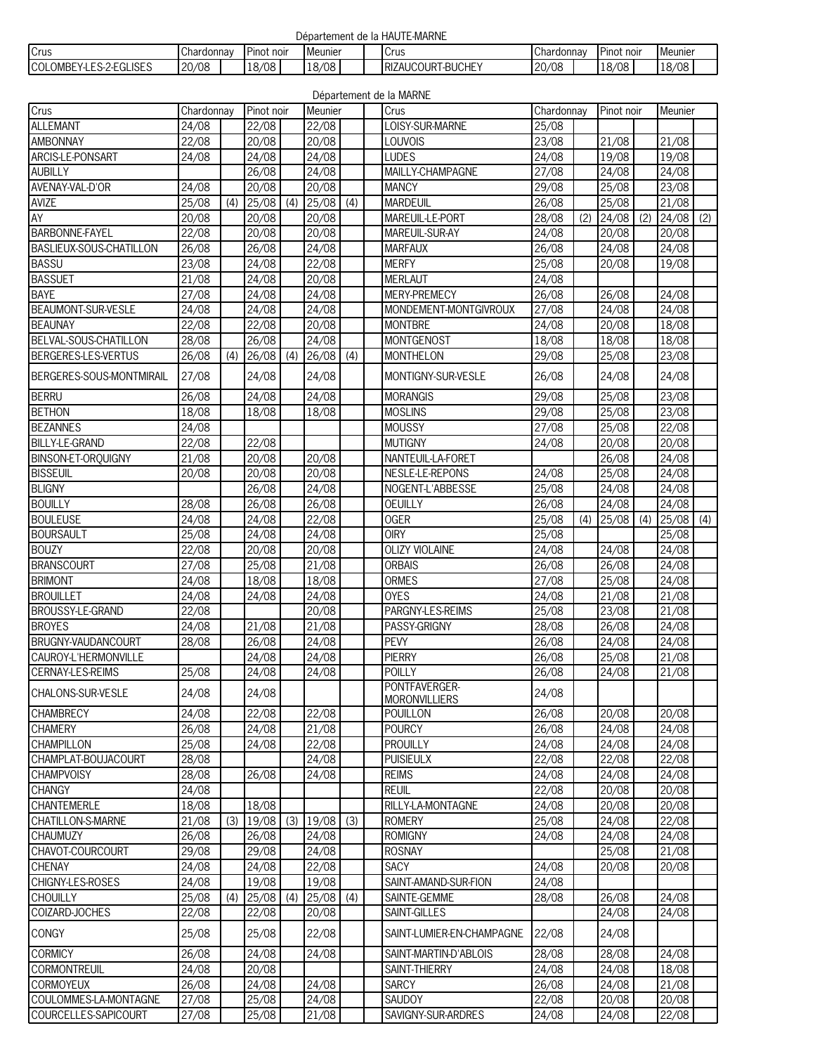| Département de la HAUTE-MARNE |  |  |  |  |
|-------------------------------|--|--|--|--|
|-------------------------------|--|--|--|--|

| Crus                                                             | $\sim$<br>Chardonnay | r.<br>. Pinot noir | . .<br>Meunier) |  | Crus                                    | , Chardonnav    | . noir<br>Pinot | <b>I</b> Meunier     |  |
|------------------------------------------------------------------|----------------------|--------------------|-----------------|--|-----------------------------------------|-----------------|-----------------|----------------------|--|
| <b>ISES</b><br>I OMBF<br>$\sim$<br>$  -$<br>ыı<br>.<br>v-7-<br>w | 0/08<br>$\sim$       | 18/08              | 18/08           |  | <b>BUCHE</b><br>IRIZAUCOUR <sup>7</sup> | 20/08<br>$\sim$ | 8/08<br>1 U/    | 18/08<br>″⁄ة⊥<br>ט י |  |

|                                       |                |     |                |     |                 |     | Département de la MARNE             |                |     |            |     |         |     |
|---------------------------------------|----------------|-----|----------------|-----|-----------------|-----|-------------------------------------|----------------|-----|------------|-----|---------|-----|
| Crus                                  | Chardonnay     |     | Pinot noir     |     | Meunier         |     | Crus                                | Chardonnay     |     | Pinot noir |     | Meunier |     |
| <b>ALLEMANT</b>                       | 24/08          |     | 22/08          |     | 22/08           |     | LOISY-SUR-MARNE                     | 25/08          |     |            |     |         |     |
| <b>AMBONNAY</b>                       | 22/08          |     | 20/08          |     | 20/08           |     | LOUVOIS                             | 23/08          |     | 21/08      |     | 21/08   |     |
| ARCIS-LE-PONSART                      | 24/08          |     | 24/08          |     | 24/08           |     | LUDES                               | 24/08          |     | 19/08      |     | 19/08   |     |
| <b>AUBILLY</b>                        |                |     | 26/08          |     | 24/08           |     | MAILLY-CHAMPAGNE                    | 27/08          |     | 24/08      |     | 24/08   |     |
| AVENAY-VAL-D'OR                       | 24/08          |     | 20/08          |     | 20/08           |     | <b>MANCY</b>                        | 29/08          |     | 25/08      |     | 23/08   |     |
| AVIZE                                 | 25/08          | (4) | 25/08          | (4) | 25/08           | (4) | <b>MARDEUIL</b>                     | 26/08          |     | 25/08      |     | 21/08   |     |
| AY                                    | 20/08          |     | 20/08          |     | 20/08           |     | MAREUIL-LE-PORT                     | 28/08          | (2) | 24/08      | (2) | 24/08   | (2) |
| <b>BARBONNE-FAYEL</b>                 | 22/08          |     | 20/08          |     | 20/08           |     | MAREUIL-SUR-AY                      | 24/08          |     | 20/08      |     | 20/08   |     |
| BASLIEUX-SOUS-CHATILLON               | 26/08          |     | 26/08          |     | 24/08           |     | <b>MARFAUX</b>                      | 26/08          |     | 24/08      |     | 24/08   |     |
| <b>BASSU</b>                          | 23/08          |     | 24/08          |     | 22/08           |     | <b>MERFY</b>                        | 25/08          |     | 20/08      |     | 19/08   |     |
| <b>BASSUET</b>                        | 21/08          |     | 24/08          |     | 20/08           |     | <b>MERLAUT</b>                      | 24/08          |     |            |     |         |     |
| <b>BAYE</b>                           | 27/08          |     | 24/08          |     | 24/08           |     | MERY-PREMECY                        | 26/08          |     | 26/08      |     | 24/08   |     |
| BEAUMONT-SUR-VESLE                    | 24/08          |     | 24/08          |     | $\frac{24}{08}$ |     | MONDEMENT-MONTGIVROUX               | 27/08          |     | 24/08      |     | 24/08   |     |
| <b>BEAUNAY</b>                        | 22/08          |     | 22/08          |     | 20/08           |     | <b>MONTBRE</b>                      | 24/08          |     | 20/08      |     | 18/08   |     |
| BELVAL-SOUS-CHATILLON                 | 28/08          |     | 26/08          |     | 24/08           |     | MONTGENOST                          | 18/08          |     | 18/08      |     | 18/08   |     |
| BERGERES-LES-VERTUS                   |                |     |                |     |                 |     |                                     |                |     |            |     |         |     |
|                                       | 26/08          | (4) | 26/08          | (4) | 26/08           | (4) | <b>MONTHELON</b>                    | 29/08          |     | 25/08      |     | 23/08   |     |
| BERGERES-SOUS-MONTMIRAIL              | 27/08          |     | 24/08          |     | 24/08           |     | MONTIGNY-SUR-VESLE                  | 26/08          |     | 24/08      |     | 24/08   |     |
| <b>BERRU</b>                          | 26/08          |     | 24/08          |     | 24/08           |     | <b>MORANGIS</b>                     | 29/08          |     | 25/08      |     | 23/08   |     |
| <b>BETHON</b>                         | 18/08          |     | 18/08          |     | 18/08           |     | <b>MOSLINS</b>                      | 29/08          |     | 25/08      |     | 23/08   |     |
| <b>BEZANNES</b>                       | 24/08          |     |                |     |                 |     | <b>MOUSSY</b>                       | 27/08          |     | 25/08      |     | 22/08   |     |
| <b>BILLY-LE-GRAND</b>                 | 22/08          |     | 22/08          |     |                 |     | <b>MUTIGNY</b>                      | 24/08          |     | 20/08      |     | 20/08   |     |
| <b>BINSON-ET-ORQUIGNY</b>             | 21/08          |     | 20/08          |     | 20/08           |     | NANTEUIL-LA-FORET                   |                |     | 26/08      |     | 24/08   |     |
| <b>BISSEUIL</b>                       | 20/08          |     | 20/08          |     | 20/08           |     | NESLE-LE-REPONS                     | 24/08          |     | 25/08      |     | 24/08   |     |
| <b>BLIGNY</b>                         |                |     | 26/08          |     | 24/08           |     | NOGENT-L'ABBESSE                    | 25/08          |     | 24/08      |     | 24/08   |     |
| <b>BOUILLY</b>                        | 28/08          |     | 26/08          |     | 26/08           |     | <b>OEUILLY</b>                      | 26/08          |     | 24/08      |     | 24/08   |     |
| <b>BOULEUSE</b>                       | 24/08          |     | 24/08          |     | 22/08           |     | <b>OGER</b>                         | 25/08          | (4) | 25/08      | (4) | 25/08   | (4) |
| <b>BOURSAULT</b>                      | 25/08          |     | 24/08          |     | 24/08           |     | <b>OIRY</b>                         | 25/08          |     |            |     | 25/08   |     |
| <b>BOUZY</b>                          | 22/08          |     | 20/08          |     | 20/08           |     | <b>OLIZY VIOLAINE</b>               | 24/08          |     | 24/08      |     | 24/08   |     |
| <b>BRANSCOURT</b>                     | 27/08          |     | 25/08          |     | $\frac{21}{08}$ |     | <b>ORBAIS</b>                       | 26/08          |     | 26/08      |     | 24/08   |     |
| <b>BRIMONT</b>                        | 24/08          |     | 18/08          |     | 18/08           |     | <b>ORMES</b>                        | 27/08          |     | 25/08      |     | 24/08   |     |
| <b>BROUILLET</b>                      | 24/08          |     | 24/08          |     | 24/08           |     | <b>OYES</b>                         | 24/08          |     | 21/08      |     | 21/08   |     |
| BROUSSY-LE-GRAND                      | 22/08          |     |                |     | 20/08           |     | PARGNY-LES-REIMS                    | 25/08          |     | 23/08      |     | 21/08   |     |
| <b>BROYES</b>                         | 24/08          |     | 21/08          |     | 21/08           |     | PASSY-GRIGNY                        | 28/08          |     | 26/08      |     | 24/08   |     |
| BRUGNY-VAUDANCOURT                    | 28/08          |     | 26/08          |     | 24/08           |     | PEVY                                | 26/08          |     | 24/08      |     | 24/08   |     |
|                                       |                |     | 24/08          |     | 24/08           |     | <b>PIERRY</b>                       | 26/08          |     | 25/08      |     |         |     |
| CAUROY-L'HERMONVILLE                  |                |     |                |     |                 |     | POILLY                              |                |     |            |     | 21/08   |     |
| CERNAY-LES-REIMS<br>CHALONS-SUR-VESLE | 25/08<br>24/08 |     | 24/08<br>24/08 |     | 24/08           |     | PONTFAVERGER-                       | 26/08<br>24/08 |     | 24/08      |     | 21/08   |     |
| <b>CHAMBRECY</b>                      | 24/08          |     | 22/08          |     | 22/08           |     | <b>MORONVILLIERS</b><br>POUILLON    | 26/08          |     | 20/08      |     | 20/08   |     |
|                                       | 26/08          |     | 24/08          |     |                 |     | <b>POURCY</b>                       | 26/08          |     | 24/08      |     | 24/08   |     |
| <b>CHAMERY</b>                        |                |     |                |     | 21/08           |     |                                     |                |     |            |     |         |     |
| <b>CHAMPILLON</b>                     | 25/08          |     | 24/08          |     | 22/08           |     | <b>PROUILLY</b><br><b>PUISIEULX</b> | 24/08          |     | 24/08      |     | 24/08   |     |
| CHAMPLAT-BOUJACOURT                   | 28/08          |     |                |     | 24/08           |     |                                     | 22/08          |     | 22/08      |     | 22/08   |     |
| <b>CHAMPVOISY</b>                     | 28/08          |     | 26/08          |     | 24/08           |     | <b>REIMS</b>                        | 24/08          |     | 24/08      |     | 24/08   |     |
| <b>CHANGY</b>                         | 24/08          |     |                |     |                 |     | <b>REUIL</b>                        | 22/08          |     | 20/08      |     | 20/08   |     |
| <b>CHANTEMERLE</b>                    | 18/08          |     | 18/08          |     |                 |     | RILLY-LA-MONTAGNE                   | 24/08          |     | 20/08      |     | 20/08   |     |
| CHATILLON-S-MARNE                     | 21/08          | (3) | 19/08          | (3) | 19/08           | (3) | <b>ROMERY</b>                       | 25/08          |     | 24/08      |     | 22/08   |     |
| <b>CHAUMUZY</b>                       | 26/08          |     | 26/08          |     | 24/08           |     | <b>ROMIGNY</b>                      | 24/08          |     | 24/08      |     | 24/08   |     |
| CHAVOT-COURCOURT                      | 29/08          |     | 29/08          |     | 24/08           |     | <b>ROSNAY</b>                       |                |     | 25/08      |     | 21/08   |     |
| <b>CHENAY</b>                         | 24/08          |     | 24/08          |     | 22/08           |     | <b>SACY</b>                         | 24/08          |     | 20/08      |     | 20/08   |     |
| CHIGNY-LES-ROSES                      | 24/08          |     | 19/08          |     | 19/08           |     | SAINT-AMAND-SUR-FION                | 24/08          |     |            |     |         |     |
| <b>CHOUILLY</b>                       | 25/08          | (4) | 25/08          | (4) | 25/08           | (4) | SAINTE-GEMME                        | 28/08          |     | 26/08      |     | 24/08   |     |
| COIZARD-JOCHES                        | 22/08          |     | 22/08          |     | 20/08           |     | SAINT-GILLES                        |                |     | 24/08      |     | 24/08   |     |
| CONGY                                 | 25/08          |     | 25/08          |     | 22/08           |     | SAINT-LUMIER-EN-CHAMPAGNE           | 22/08          |     | 24/08      |     |         |     |
| <b>CORMICY</b>                        | 26/08          |     | 24/08          |     | 24/08           |     | SAINT-MARTIN-D'ABLOIS               | 28/08          |     | 28/08      |     | 24/08   |     |
| <b>CORMONTREUIL</b>                   | 24/08          |     | 20/08          |     |                 |     | SAINT-THIERRY                       | 24/08          |     | 24/08      |     | 18/08   |     |
| <b>CORMOYEUX</b>                      | 26/08          |     | 24/08          |     | 24/08           |     | <b>SARCY</b>                        | 26/08          |     | 24/08      |     | 21/08   |     |
| COULOMMES-LA-MONTAGNE                 | 27/08          |     | 25/08          |     | 24/08           |     | SAUDOY                              | 22/08          |     | 20/08      |     | 20/08   |     |
| COURCELLES-SAPICOURT                  | 27/08          |     | 25/08          |     | 21/08           |     | SAVIGNY-SUR-ARDRES                  | 24/08          |     | 24/08      |     | 22/08   |     |